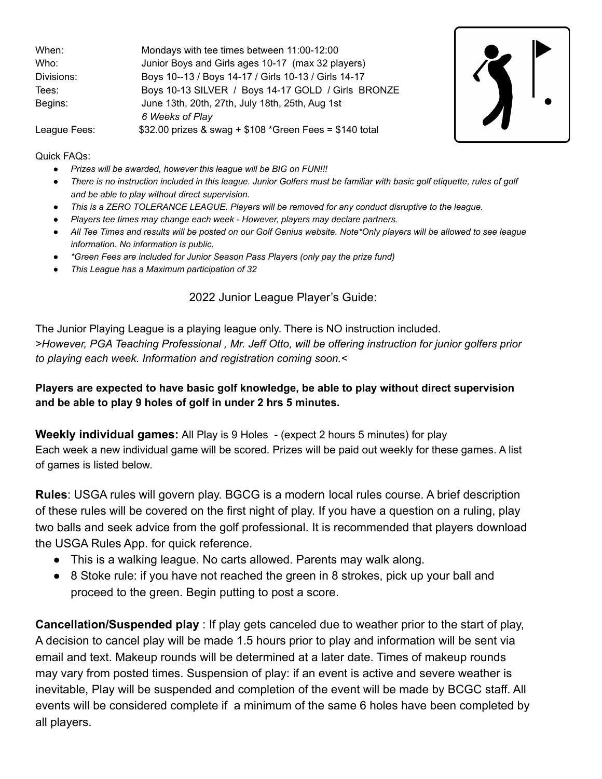| When:        | Mondays with tee times between 11:00-12:00               |
|--------------|----------------------------------------------------------|
| Who:         | Junior Boys and Girls ages 10-17 (max 32 players)        |
| Divisions:   | Boys 10--13 / Boys 14-17 / Girls 10-13 / Girls 14-17     |
| Tees:        | Boys 10-13 SILVER / Boys 14-17 GOLD / Girls BRONZE       |
| Begins:      | June 13th, 20th, 27th, July 18th, 25th, Aug 1st          |
|              | 6 Weeks of Play                                          |
| League Fees: | \$32.00 prizes & swag + $$108$ *Green Fees = \$140 total |



Quick FAQs:

- *● Prizes will be awarded, however this league will be BIG on FUN!!!*
- *● There is no instruction included in this league. Junior Golfers must be familiar with basic golf etiquette, rules of golf and be able to play without direct supervision.*
- *● This is a ZERO TOLERANCE LEAGUE. Players will be removed for any conduct disruptive to the league.*
- *● Players tee times may change each week However, players may declare partners.*
- *● All Tee Times and results will be posted on our Golf Genius website. Note\*Only players will be allowed to see league information. No information is public.*
- *● \*Green Fees are included for Junior Season Pass Players (only pay the prize fund)*
- *● This League has a Maximum participation of 32*

### 2022 Junior League Player's Guide:

The Junior Playing League is a playing league only. There is NO instruction included. *>However, PGA Teaching Professional , Mr. Jeff Otto, will be offering instruction for junior golfers prior to playing each week. Information and registration coming soon.<*

### **Players are expected to have basic golf knowledge, be able to play without direct supervision and be able to play 9 holes of golf in under 2 hrs 5 minutes.**

**Weekly individual games:** All Play is 9 Holes - (expect 2 hours 5 minutes) for play Each week a new individual game will be scored. Prizes will be paid out weekly for these games. A list of games is listed below.

**Rules**: USGA rules will govern play. BGCG is a modern local rules course. A brief description of these rules will be covered on the first night of play. If you have a question on a ruling, play two balls and seek advice from the golf professional. It is recommended that players download the USGA Rules App. for quick reference.

- This is a walking league. No carts allowed. Parents may walk along.
- 8 Stoke rule: if you have not reached the green in 8 strokes, pick up your ball and proceed to the green. Begin putting to post a score.

**Cancellation/Suspended play** : If play gets canceled due to weather prior to the start of play, A decision to cancel play will be made 1.5 hours prior to play and information will be sent via email and text. Makeup rounds will be determined at a later date. Times of makeup rounds may vary from posted times. Suspension of play: if an event is active and severe weather is inevitable, Play will be suspended and completion of the event will be made by BCGC staff. All events will be considered complete if a minimum of the same 6 holes have been completed by all players.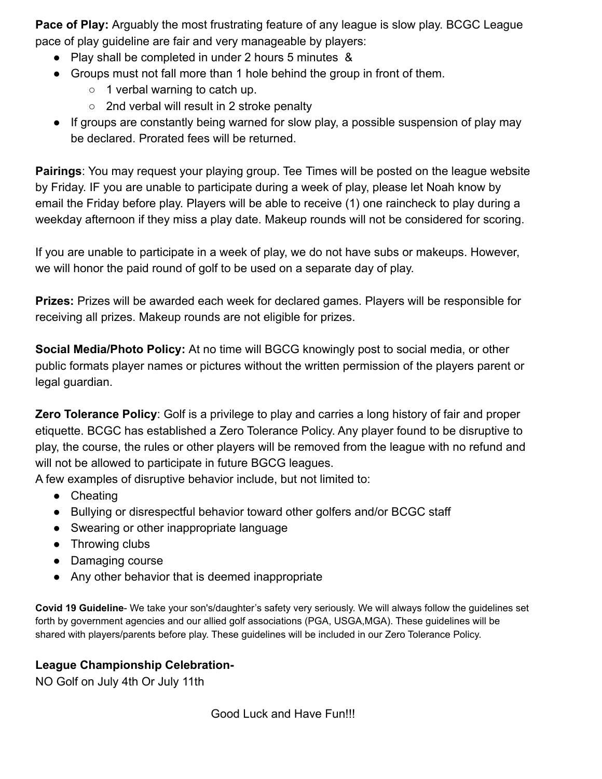**Pace of Play:** Arguably the most frustrating feature of any league is slow play. BCGC League pace of play guideline are fair and very manageable by players:

- Play shall be completed in under 2 hours 5 minutes &
- Groups must not fall more than 1 hole behind the group in front of them.
	- $\circ$  1 verbal warning to catch up.
	- 2nd verbal will result in 2 stroke penalty
- If groups are constantly being warned for slow play, a possible suspension of play may be declared. Prorated fees will be returned.

**Pairings**: You may request your playing group. Tee Times will be posted on the league website by Friday. IF you are unable to participate during a week of play, please let Noah know by email the Friday before play. Players will be able to receive (1) one raincheck to play during a weekday afternoon if they miss a play date. Makeup rounds will not be considered for scoring.

If you are unable to participate in a week of play, we do not have subs or makeups. However, we will honor the paid round of golf to be used on a separate day of play.

**Prizes:** Prizes will be awarded each week for declared games. Players will be responsible for receiving all prizes. Makeup rounds are not eligible for prizes.

**Social Media/Photo Policy:** At no time will BGCG knowingly post to social media, or other public formats player names or pictures without the written permission of the players parent or legal guardian.

**Zero Tolerance Policy**: Golf is a privilege to play and carries a long history of fair and proper etiquette. BCGC has established a Zero Tolerance Policy. Any player found to be disruptive to play, the course, the rules or other players will be removed from the league with no refund and will not be allowed to participate in future BGCG leagues.

A few examples of disruptive behavior include, but not limited to:

- Cheating
- Bullying or disrespectful behavior toward other golfers and/or BCGC staff
- Swearing or other inappropriate language
- Throwing clubs
- Damaging course
- Any other behavior that is deemed inappropriate

**Covid 19 Guideline**- We take your son's/daughter's safety very seriously. We will always follow the guidelines set forth by government agencies and our allied golf associations (PGA, USGA,MGA). These guidelines will be shared with players/parents before play. These guidelines will be included in our Zero Tolerance Policy.

# **League Championship Celebration-**

NO Golf on July 4th Or July 11th

Good Luck and Have Fun!!!